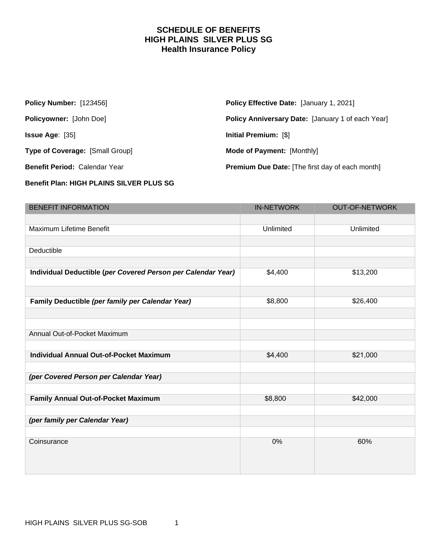### **SCHEDULE OF BENEFITS HIGH PLAINS SILVER PLUS SG Health Insurance Policy**

| <b>Policy Number: [123456]</b>         | <b>Policy Effective Date: [January 1, 2021]</b>        |
|----------------------------------------|--------------------------------------------------------|
| <b>Policyowner: [John Doe]</b>         | Policy Anniversary Date: [January 1 of each Year]      |
| <b>Issue Age:</b> $[35]$               | Initial Premium: [\$]                                  |
| <b>Type of Coverage: [Small Group]</b> | <b>Mode of Payment: [Monthly]</b>                      |
| <b>Benefit Period: Calendar Year</b>   | <b>Premium Due Date:</b> [The first day of each month] |

#### **Benefit Plan: HIGH PLAINS SILVER PLUS SG**

| <b>BENEFIT INFORMATION</b>                                   | <b>IN-NETWORK</b> | <b>OUT-OF-NETWORK</b> |
|--------------------------------------------------------------|-------------------|-----------------------|
|                                                              |                   |                       |
| Maximum Lifetime Benefit                                     | Unlimited         | Unlimited             |
|                                                              |                   |                       |
| Deductible                                                   |                   |                       |
|                                                              |                   |                       |
| Individual Deductible (per Covered Person per Calendar Year) | \$4,400           | \$13,200              |
|                                                              |                   |                       |
| Family Deductible (per family per Calendar Year)             | \$8,800           | \$26,400              |
|                                                              |                   |                       |
|                                                              |                   |                       |
| Annual Out-of-Pocket Maximum                                 |                   |                       |
|                                                              |                   |                       |
| <b>Individual Annual Out-of-Pocket Maximum</b>               | \$4,400           | \$21,000              |
|                                                              |                   |                       |
| (per Covered Person per Calendar Year)                       |                   |                       |
|                                                              |                   |                       |
| Family Annual Out-of-Pocket Maximum                          | \$8,800           | \$42,000              |
|                                                              |                   |                       |
| (per family per Calendar Year)                               |                   |                       |
|                                                              |                   |                       |
| Coinsurance                                                  | 0%                | 60%                   |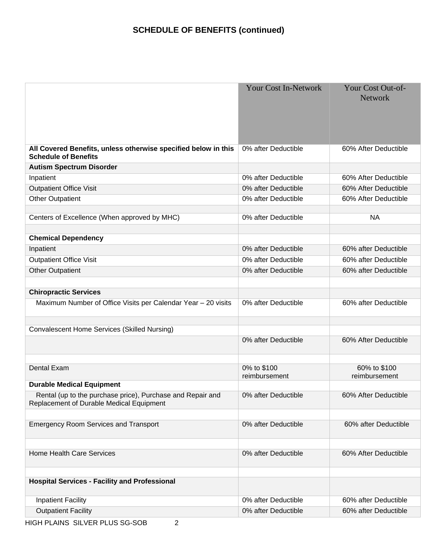# **SCHEDULE OF BENEFITS (continued)**

|                                                                                                        | <b>Your Cost In-Network</b> | Your Cost Out-of-<br><b>Network</b> |
|--------------------------------------------------------------------------------------------------------|-----------------------------|-------------------------------------|
| All Covered Benefits, unless otherwise specified below in this<br><b>Schedule of Benefits</b>          | 0% after Deductible         | 60% After Deductible                |
| <b>Autism Spectrum Disorder</b>                                                                        |                             |                                     |
| Inpatient                                                                                              | 0% after Deductible         | 60% After Deductible                |
| <b>Outpatient Office Visit</b>                                                                         | 0% after Deductible         | 60% After Deductible                |
| <b>Other Outpatient</b>                                                                                | 0% after Deductible         | 60% After Deductible                |
| Centers of Excellence (When approved by MHC)                                                           | 0% after Deductible         | <b>NA</b>                           |
|                                                                                                        |                             |                                     |
| <b>Chemical Dependency</b>                                                                             |                             |                                     |
| Inpatient                                                                                              | 0% after Deductible         | 60% after Deductible                |
| <b>Outpatient Office Visit</b>                                                                         | 0% after Deductible         | 60% after Deductible                |
| <b>Other Outpatient</b>                                                                                | 0% after Deductible         | 60% after Deductible                |
|                                                                                                        |                             |                                     |
| <b>Chiropractic Services</b>                                                                           |                             |                                     |
| Maximum Number of Office Visits per Calendar Year - 20 visits                                          | 0% after Deductible         | 60% after Deductible                |
| <b>Convalescent Home Services (Skilled Nursing)</b>                                                    |                             |                                     |
|                                                                                                        | 0% after Deductible         | 60% After Deductible                |
| Dental Exam                                                                                            | 0% to \$100                 | 60% to \$100                        |
|                                                                                                        | reimbursement               | reimbursement                       |
| <b>Durable Medical Equipment</b>                                                                       |                             |                                     |
| Rental (up to the purchase price), Purchase and Repair and<br>Replacement of Durable Medical Equipment | 0% after Deductible         | 60% After Deductible                |
| <b>Emergency Room Services and Transport</b>                                                           | 0% after Deductible         | 60% after Deductible                |
| <b>Home Health Care Services</b>                                                                       | 0% after Deductible         | 60% After Deductible                |
| <b>Hospital Services - Facility and Professional</b>                                                   |                             |                                     |
| <b>Inpatient Facility</b>                                                                              | 0% after Deductible         | 60% after Deductible                |
| <b>Outpatient Facility</b>                                                                             | 0% after Deductible         | 60% after Deductible                |
|                                                                                                        |                             |                                     |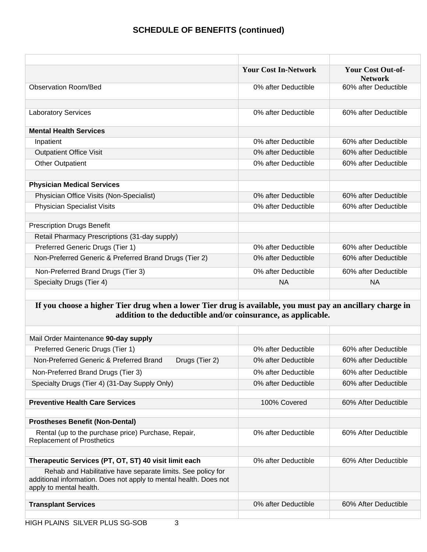|                                                        | <b>Your Cost In-Network</b> | <b>Your Cost Out-of-</b><br><b>Network</b> |
|--------------------------------------------------------|-----------------------------|--------------------------------------------|
| <b>Observation Room/Bed</b>                            | 0% after Deductible         | 60% after Deductible                       |
|                                                        |                             |                                            |
| <b>Laboratory Services</b>                             | 0% after Deductible         | 60% after Deductible                       |
| <b>Mental Health Services</b>                          |                             |                                            |
| Inpatient                                              | 0% after Deductible         | 60% after Deductible                       |
| <b>Outpatient Office Visit</b>                         | 0% after Deductible         | 60% after Deductible                       |
| <b>Other Outpatient</b>                                | 0% after Deductible         | 60% after Deductible                       |
|                                                        |                             |                                            |
| <b>Physician Medical Services</b>                      |                             |                                            |
| Physician Office Visits (Non-Specialist)               | 0% after Deductible         | 60% after Deductible                       |
| <b>Physician Specialist Visits</b>                     | 0% after Deductible         | 60% after Deductible                       |
|                                                        |                             |                                            |
| <b>Prescription Drugs Benefit</b>                      |                             |                                            |
| Retail Pharmacy Prescriptions (31-day supply)          |                             |                                            |
| Preferred Generic Drugs (Tier 1)                       | 0% after Deductible         | 60% after Deductible                       |
| Non-Preferred Generic & Preferred Brand Drugs (Tier 2) | 0% after Deductible         | 60% after Deductible                       |
| Non-Preferred Brand Drugs (Tier 3)                     | 0% after Deductible         | 60% after Deductible                       |
| Specialty Drugs (Tier 4)                               | <b>NA</b>                   | NА                                         |
|                                                        |                             |                                            |

### **If you choose a higher Tier drug when a lower Tier drug is available, you must pay an ancillary charge in addition to the deductible and/or coinsurance, as applicable.**

| Mail Order Maintenance 90-day supply                                                                                                                        |                     |                      |
|-------------------------------------------------------------------------------------------------------------------------------------------------------------|---------------------|----------------------|
| Preferred Generic Drugs (Tier 1)                                                                                                                            | 0% after Deductible | 60% after Deductible |
| Non-Preferred Generic & Preferred Brand<br>Drugs (Tier 2)                                                                                                   | 0% after Deductible | 60% after Deductible |
| Non-Preferred Brand Drugs (Tier 3)                                                                                                                          | 0% after Deductible | 60% after Deductible |
| Specialty Drugs (Tier 4) (31-Day Supply Only)                                                                                                               | 0% after Deductible | 60% after Deductible |
|                                                                                                                                                             |                     |                      |
| <b>Preventive Health Care Services</b>                                                                                                                      | 100% Covered        | 60% After Deductible |
|                                                                                                                                                             |                     |                      |
| <b>Prostheses Benefit (Non-Dental)</b>                                                                                                                      |                     |                      |
| Rental (up to the purchase price) Purchase, Repair,<br><b>Replacement of Prosthetics</b>                                                                    | 0% after Deductible | 60% After Deductible |
|                                                                                                                                                             |                     |                      |
| Therapeutic Services (PT, OT, ST) 40 visit limit each                                                                                                       | 0% after Deductible | 60% After Deductible |
| Rehab and Habilitative have separate limits. See policy for<br>additional information. Does not apply to mental health. Does not<br>apply to mental health. |                     |                      |
|                                                                                                                                                             |                     |                      |
| <b>Transplant Services</b>                                                                                                                                  | 0% after Deductible | 60% After Deductible |
|                                                                                                                                                             |                     |                      |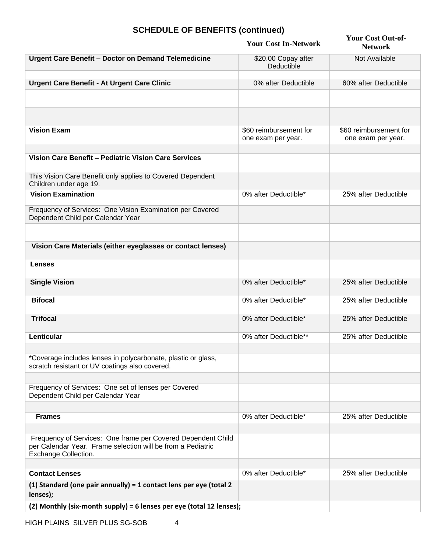# **SCHEDULE OF BENEFITS (continued)**

|                                                                                                                                                     | <b>Your Cost In-Network</b>                  | <b>Your Cost Out-of-</b><br><b>Network</b>   |
|-----------------------------------------------------------------------------------------------------------------------------------------------------|----------------------------------------------|----------------------------------------------|
| <b>Urgent Care Benefit - Doctor on Demand Telemedicine</b>                                                                                          | \$20.00 Copay after<br>Deductible            | Not Available                                |
| <b>Urgent Care Benefit - At Urgent Care Clinic</b>                                                                                                  | 0% after Deductible                          | 60% after Deductible                         |
|                                                                                                                                                     |                                              |                                              |
| <b>Vision Exam</b>                                                                                                                                  | \$60 reimbursement for<br>one exam per year. | \$60 reimbursement for<br>one exam per year. |
| Vision Care Benefit - Pediatric Vision Care Services                                                                                                |                                              |                                              |
| This Vision Care Benefit only applies to Covered Dependent<br>Children under age 19.                                                                |                                              |                                              |
| <b>Vision Examination</b>                                                                                                                           | 0% after Deductible*                         | 25% after Deductible                         |
| Frequency of Services: One Vision Examination per Covered<br>Dependent Child per Calendar Year                                                      |                                              |                                              |
| Vision Care Materials (either eyeglasses or contact lenses)                                                                                         |                                              |                                              |
|                                                                                                                                                     |                                              |                                              |
| <b>Lenses</b>                                                                                                                                       |                                              |                                              |
| <b>Single Vision</b>                                                                                                                                | 0% after Deductible*                         | 25% after Deductible                         |
| <b>Bifocal</b>                                                                                                                                      | 0% after Deductible*                         | 25% after Deductible                         |
| <b>Trifocal</b>                                                                                                                                     | 0% after Deductible*                         | 25% after Deductible                         |
| Lenticular                                                                                                                                          | 0% after Deductible**                        | 25% after Deductible                         |
| *Coverage includes lenses in polycarbonate, plastic or glass,<br>scratch resistant or UV coatings also covered.                                     |                                              |                                              |
| Frequency of Services: One set of lenses per Covered<br>Dependent Child per Calendar Year                                                           |                                              |                                              |
|                                                                                                                                                     |                                              |                                              |
| <b>Frames</b>                                                                                                                                       | 0% after Deductible*                         | 25% after Deductible                         |
| Frequency of Services: One frame per Covered Dependent Child<br>per Calendar Year. Frame selection will be from a Pediatric<br>Exchange Collection. |                                              |                                              |
|                                                                                                                                                     |                                              |                                              |
| <b>Contact Lenses</b>                                                                                                                               | 0% after Deductible*                         | 25% after Deductible                         |
| $(1)$ Standard (one pair annually) = 1 contact lens per eye (total 2<br>lenses);                                                                    |                                              |                                              |
| (2) Monthly (six-month supply) = 6 lenses per eye (total 12 lenses);                                                                                |                                              |                                              |